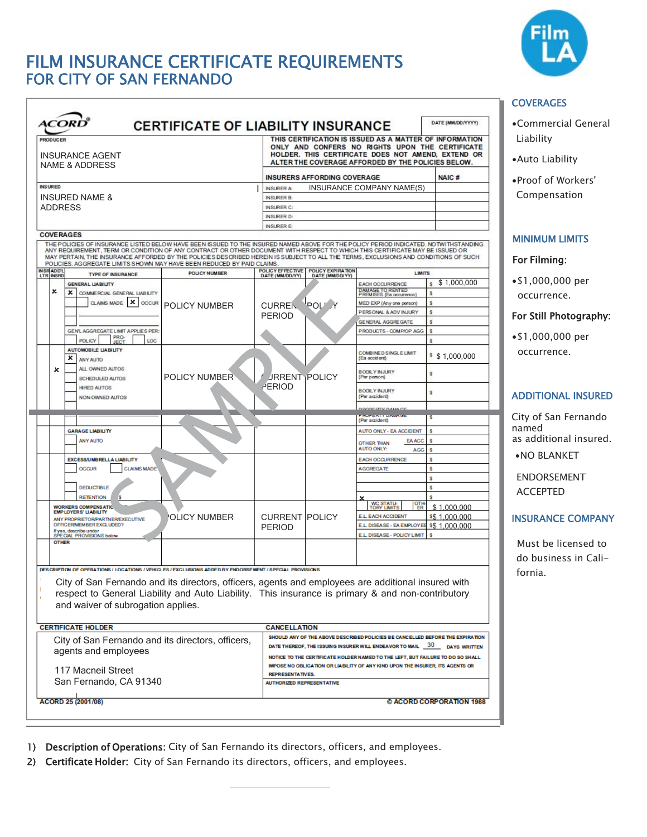# FILM INSURANCE CERTIFICATE REQUIREMENTS FOR CITY OF SAN FERNANDO



| <b>PRODUCER</b><br><b>INSURANCE AGENT</b><br><b>NAME &amp; ADDRESS</b>                                                                                                                                                                                                                                                                                                                                                                                                                                   |                      |                                                       |                                                                                                                                                                 | THIS CERTIFICATION IS ISSUED AS A MATTER OF INFORMATION<br>ONLY AND CONFERS NO RIGHTS UPON THE CERTIFICATE<br>HOLDER. THIS CERTIFICATE DOES NOT AMEND, EXTEND OR<br>ALTER THE COVERAGE AFFORDED BY THE POLICIES BELOW. |                  |  |
|----------------------------------------------------------------------------------------------------------------------------------------------------------------------------------------------------------------------------------------------------------------------------------------------------------------------------------------------------------------------------------------------------------------------------------------------------------------------------------------------------------|----------------------|-------------------------------------------------------|-----------------------------------------------------------------------------------------------------------------------------------------------------------------|------------------------------------------------------------------------------------------------------------------------------------------------------------------------------------------------------------------------|------------------|--|
|                                                                                                                                                                                                                                                                                                                                                                                                                                                                                                          |                      |                                                       | <b>INSURERS AFFORDING COVERAGE</b>                                                                                                                              |                                                                                                                                                                                                                        |                  |  |
| <b>INSURED</b>                                                                                                                                                                                                                                                                                                                                                                                                                                                                                           |                      | <b>INSURER A:</b>                                     |                                                                                                                                                                 | INSURANCE COMPANY NAME(S)                                                                                                                                                                                              |                  |  |
| <b>INSURED NAME &amp;</b><br><b>ADDRESS</b><br><b>COVERAGES</b>                                                                                                                                                                                                                                                                                                                                                                                                                                          |                      | <b>INSURER B:</b>                                     |                                                                                                                                                                 |                                                                                                                                                                                                                        |                  |  |
|                                                                                                                                                                                                                                                                                                                                                                                                                                                                                                          |                      | <b>INSURER C:</b>                                     |                                                                                                                                                                 |                                                                                                                                                                                                                        |                  |  |
|                                                                                                                                                                                                                                                                                                                                                                                                                                                                                                          |                      | <b>INSURER D:</b>                                     | <b>INSURER E:</b>                                                                                                                                               |                                                                                                                                                                                                                        |                  |  |
|                                                                                                                                                                                                                                                                                                                                                                                                                                                                                                          |                      |                                                       |                                                                                                                                                                 |                                                                                                                                                                                                                        |                  |  |
| THE POLICIES OF INSURANCE LISTED BELOW HAVE BEEN ISSUED TO THE INSURED NAMED ABOVE FOR THE POLICY PERIOD INDICATED. NOTWITHSTANDING<br>ANY REQUIREMENT. TERM OR CONDITION OF ANY CONTRACT OR OTHER DOCUMENT WITH RESPECT TO WHICH THIS CERTIFICATE MAY BE ISSUED OR<br>MAY PERTAIN, THE INSURANCE AFFORDED BY THE POLICIES DESCRIBED HEREIN IS SUBJECT TO ALL THE TERMS. EXCLUSIONS AND CONDITIONS OF SUCH<br>POLICIES. AGGREGATE LIMITS SHOWN MAY HAVE BEEN REDUCED BY PAID CLAIMS.<br><b>INSRADD'L</b> |                      |                                                       |                                                                                                                                                                 |                                                                                                                                                                                                                        |                  |  |
| <b>TYPE OF INSURANCE</b><br><b>LTR INSRD</b>                                                                                                                                                                                                                                                                                                                                                                                                                                                             | <b>POLICY NUMBER</b> | POLICY EFFECTIVE POLICY EXPIRATION<br>DATE (MM/DD/YY) | DATE (MM/DD/YY)                                                                                                                                                 | <b>LIMITS</b>                                                                                                                                                                                                          |                  |  |
| <b>GENERAL LIABILITY</b><br>×                                                                                                                                                                                                                                                                                                                                                                                                                                                                            |                      |                                                       |                                                                                                                                                                 | <b>EACH OCCURRENCE</b><br>DAMAGE TO RENTED                                                                                                                                                                             | \$1,000,000<br>s |  |
| $\mathsf{x}$<br>COMMERCIAL GENERAL LIABILITY<br><b>CLAIMS MADE X OCCUR</b>                                                                                                                                                                                                                                                                                                                                                                                                                               | POLICY NUMBER        |                                                       | 'POL' Y                                                                                                                                                         | PREMISES (Ea occurence)<br>MED EXP (Any one person)                                                                                                                                                                    | s<br>s           |  |
|                                                                                                                                                                                                                                                                                                                                                                                                                                                                                                          |                      | <b>CURREN</b>                                         |                                                                                                                                                                 | PERSONAL & ADV INJURY                                                                                                                                                                                                  | ŝ                |  |
|                                                                                                                                                                                                                                                                                                                                                                                                                                                                                                          |                      | <b>PERIOD</b>                                         |                                                                                                                                                                 | <b>GENERAL AGGREGATE</b>                                                                                                                                                                                               | ŝ                |  |
| GENL AGGREGATE LIMIT APPLIES PER                                                                                                                                                                                                                                                                                                                                                                                                                                                                         |                      |                                                       |                                                                                                                                                                 | PRODUCTS - COMP/OP AGG                                                                                                                                                                                                 | s                |  |
| PRO-<br><b>POLICY</b><br>LOC<br><b>JECT</b>                                                                                                                                                                                                                                                                                                                                                                                                                                                              |                      |                                                       |                                                                                                                                                                 |                                                                                                                                                                                                                        | Ŝ                |  |
| <b>AUTOMOBILE LIABILITY</b><br>×<br>ANY AUTO                                                                                                                                                                                                                                                                                                                                                                                                                                                             |                      |                                                       |                                                                                                                                                                 | COMBINED SINGLE LIMIT<br>(Ea accident)                                                                                                                                                                                 | \$ 1,000,000     |  |
| ALL OWNED AUTOS<br>$\boldsymbol{\mathsf{x}}$<br>SCHEDULED AUTOS                                                                                                                                                                                                                                                                                                                                                                                                                                          | POLICY NUMBER        | <b>JRRENT POLICY</b><br>PERIOD                        |                                                                                                                                                                 | <b>BODILY INJURY</b><br>(Per person)                                                                                                                                                                                   | s                |  |
| <b>HIRED AUTOS</b><br>NON-OWNED AUTOS                                                                                                                                                                                                                                                                                                                                                                                                                                                                    |                      |                                                       |                                                                                                                                                                 | <b>BODILY INJURY</b><br>(Per accident)                                                                                                                                                                                 | s                |  |
|                                                                                                                                                                                                                                                                                                                                                                                                                                                                                                          |                      |                                                       |                                                                                                                                                                 | <b>CHECKEY FLAAAA CS</b>                                                                                                                                                                                               | s                |  |
|                                                                                                                                                                                                                                                                                                                                                                                                                                                                                                          |                      |                                                       |                                                                                                                                                                 | (Per accident)                                                                                                                                                                                                         |                  |  |
| <b>GARAGE LIABILITY</b>                                                                                                                                                                                                                                                                                                                                                                                                                                                                                  |                      |                                                       |                                                                                                                                                                 | AUTO ONLY - EA ACCIDENT                                                                                                                                                                                                | s                |  |
| <b>ANY AUTO</b>                                                                                                                                                                                                                                                                                                                                                                                                                                                                                          |                      |                                                       |                                                                                                                                                                 | <b>EA ACC</b><br><b>OTHER THAN</b><br><b>AUTO ONLY:</b>                                                                                                                                                                | s                |  |
| <b>EXCESS/UMBRELLA LIABILITY</b>                                                                                                                                                                                                                                                                                                                                                                                                                                                                         |                      |                                                       |                                                                                                                                                                 | <b>AGG</b><br><b>EACH OCCURRENCE</b>                                                                                                                                                                                   | s<br>s           |  |
| <b>OCCUR</b><br><b>CLAIMS MADE</b>                                                                                                                                                                                                                                                                                                                                                                                                                                                                       |                      |                                                       |                                                                                                                                                                 | <b>AGGREGATE</b>                                                                                                                                                                                                       | s                |  |
|                                                                                                                                                                                                                                                                                                                                                                                                                                                                                                          |                      |                                                       |                                                                                                                                                                 |                                                                                                                                                                                                                        | s                |  |
| <b>DEDUCTIBLE</b>                                                                                                                                                                                                                                                                                                                                                                                                                                                                                        |                      |                                                       |                                                                                                                                                                 |                                                                                                                                                                                                                        | s                |  |
| <b>RETENTION</b>                                                                                                                                                                                                                                                                                                                                                                                                                                                                                         |                      |                                                       |                                                                                                                                                                 |                                                                                                                                                                                                                        |                  |  |
| <b>WORKERS COMPENSATIO</b><br><b>EMP LOYERS' LIABILITY</b>                                                                                                                                                                                                                                                                                                                                                                                                                                               |                      |                                                       |                                                                                                                                                                 | <b>WC STATU<br/>TORY LIMITS</b><br>땞                                                                                                                                                                                   | \$1.000.000      |  |
| ANY PROPRIETOR/PARTNER/EXECUTIVE                                                                                                                                                                                                                                                                                                                                                                                                                                                                         | <b>OLICY NUMBER</b>  | <b>CURRENT POLICY</b>                                 |                                                                                                                                                                 | <b>E.L. EACH ACCIDENT</b>                                                                                                                                                                                              | \$\$1.000.000    |  |
| OFFICERMEMBER EXCLUDED?<br>If yes, describe under                                                                                                                                                                                                                                                                                                                                                                                                                                                        |                      | <b>PERIOD</b>                                         |                                                                                                                                                                 | E.L. DISEASE - EA EMPLOYEE<br><b>E.L. DISEASE - POLICY LIMIT</b>                                                                                                                                                       | \$\$1,000,000    |  |
| SPECIAL PROVISIONS below<br><b>OTHER</b>                                                                                                                                                                                                                                                                                                                                                                                                                                                                 |                      |                                                       |                                                                                                                                                                 |                                                                                                                                                                                                                        |                  |  |
|                                                                                                                                                                                                                                                                                                                                                                                                                                                                                                          |                      |                                                       |                                                                                                                                                                 |                                                                                                                                                                                                                        |                  |  |
| DES CRIPTION OF OPERATIONS / LOCATIONS / VEHICLES / EXCLUSIONS ADDED BY ENDORSEMENT / SPECIAL PROVISIONS<br>City of San Fernando and its directors, officers, agents and employees are additional insured with                                                                                                                                                                                                                                                                                           |                      |                                                       |                                                                                                                                                                 |                                                                                                                                                                                                                        |                  |  |
| respect to General Liability and Auto Liability. This insurance is primary & and non-contributory                                                                                                                                                                                                                                                                                                                                                                                                        |                      |                                                       |                                                                                                                                                                 |                                                                                                                                                                                                                        |                  |  |
| and waiver of subrogation applies.                                                                                                                                                                                                                                                                                                                                                                                                                                                                       |                      |                                                       |                                                                                                                                                                 |                                                                                                                                                                                                                        |                  |  |
|                                                                                                                                                                                                                                                                                                                                                                                                                                                                                                          |                      |                                                       |                                                                                                                                                                 |                                                                                                                                                                                                                        |                  |  |
| <b>CERTIFICATE HOLDER</b>                                                                                                                                                                                                                                                                                                                                                                                                                                                                                |                      | <b>CANCELLATION</b>                                   |                                                                                                                                                                 |                                                                                                                                                                                                                        |                  |  |
|                                                                                                                                                                                                                                                                                                                                                                                                                                                                                                          |                      |                                                       |                                                                                                                                                                 | SHOULD ANY OF THE ABOVE DESCRIBED POLICIES BE CANCELLED BEFORE THE EXPIRATION                                                                                                                                          |                  |  |
| City of San Fernando and its directors, officers,                                                                                                                                                                                                                                                                                                                                                                                                                                                        |                      |                                                       | DATE THEREOF, THE ISSUING INSURER WILL ENDEAVOR TO MAIL 30 DAYS WRITTEN                                                                                         |                                                                                                                                                                                                                        |                  |  |
| agents and employees                                                                                                                                                                                                                                                                                                                                                                                                                                                                                     |                      |                                                       | NOTICE TO THE CERTIFICATE HOLDER NAMED TO THE LEFT, BUT FAILURE TO DO SO SHALL<br>IMPOSE NO OBLIGATION OR LIABILITY OF ANY KIND UPON THE INSURER, ITS AGENTS OR |                                                                                                                                                                                                                        |                  |  |
|                                                                                                                                                                                                                                                                                                                                                                                                                                                                                                          |                      |                                                       |                                                                                                                                                                 |                                                                                                                                                                                                                        |                  |  |
| 117 Macneil Street<br>San Fernando, CA 91340                                                                                                                                                                                                                                                                                                                                                                                                                                                             |                      |                                                       | <b>REPRESENTATIVES.</b>                                                                                                                                         |                                                                                                                                                                                                                        |                  |  |
|                                                                                                                                                                                                                                                                                                                                                                                                                                                                                                          |                      |                                                       | <b>AUTHORIZED REPRESENTATIVE</b>                                                                                                                                |                                                                                                                                                                                                                        |                  |  |

1) Description of Operations: City of San Fernando its directors, officers, and employees.

2) Certificate Holder: City of San Fernando its directors, officers, and employees.

### **COVERAGES**

- mercial General ility
- b Liability
- of Workers' **ipensation**

#### **MUM LIMITS**

#### ilming:

00,000 per irrence.

#### till Photography:

00,000 per irrence.

## **TIONAL INSURED**

of San Fernando named Iditional insured.

**BLANKET** 

ORSEMENT EPTED

#### RANCE COMPANY

t be licensed to usiness in Caliia.